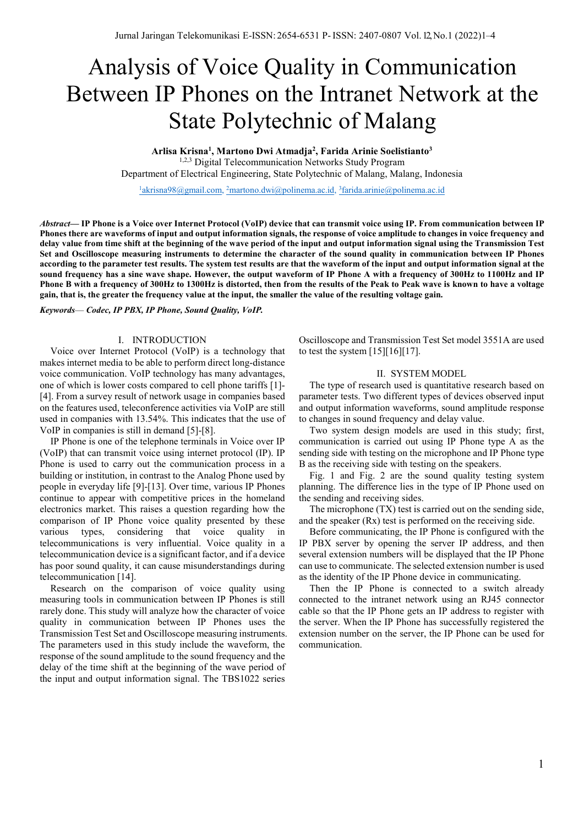# Analysis of Voice Quality in Communication Between IP Phones on the Intranet Network at the State Polytechnic of Malang

**Arlisa Krisna1 , Martono Dwi Atmadja2 , Farida Arinie Soelistianto3** <sup>1,2,3</sup> Digital Telecommunication Networks Study Program Department of Electrical Engineering, State Polytechnic of Malang, Malang, Indonesia

 $1a$ krisna98@gmail.com, 2martono.dwi@polinema.ac.id, 3farida.arinie@polinema.ac.id

*Abstract***— IP Phone is a Voice over Internet Protocol (VoIP) device that can transmit voice using IP. From communication between IP Phones there are waveforms of input and output information signals, the response of voice amplitude to changes in voice frequency and delay value from time shift at the beginning of the wave period of the input and output information signal using the Transmission Test Set and Oscilloscope measuring instruments to determine the character of the sound quality in communication between IP Phones according to the parameter test results. The system test results are that the waveform of the input and output information signal at the**  sound frequency has a sine wave shape. However, the output waveform of IP Phone A with a frequency of 300Hz to 1100Hz and IP **Phone B with a frequency of 300Hz to 1300Hz is distorted, then from the results of the Peak to Peak wave is known to have a voltage gain, that is, the greater the frequency value at the input, the smaller the value of the resulting voltage gain.**

*Keywords*— *Codec, IP PBX, IP Phone, Sound Quality, VoIP.*

## I. INTRODUCTION

Voice over Internet Protocol (VoIP) is a technology that makes internet media to be able to perform direct long-distance voice communication. VoIP technology has many advantages, one of which is lower costs compared to cell phone tariffs [1]- [4]. From a survey result of network usage in companies based on the features used, teleconference activities via VoIP are still used in companies with 13.54%. This indicates that the use of VoIP in companies is still in demand [5]-[8].

IP Phone is one of the telephone terminals in Voice over IP (VoIP) that can transmit voice using internet protocol (IP). IP Phone is used to carry out the communication process in a building or institution, in contrast to the Analog Phone used by people in everyday life [9]-[13]. Over time, various IP Phones continue to appear with competitive prices in the homeland electronics market. This raises a question regarding how the comparison of IP Phone voice quality presented by these various types, considering that voice quality in telecommunications is very influential. Voice quality in a telecommunication device is a significant factor, and if a device has poor sound quality, it can cause misunderstandings during telecommunication [14].

Research on the comparison of voice quality using measuring tools in communication between IP Phones is still rarely done. This study will analyze how the character of voice quality in communication between IP Phones uses the Transmission Test Set and Oscilloscope measuring instruments. The parameters used in this study include the waveform, the response of the sound amplitude to the sound frequency and the delay of the time shift at the beginning of the wave period of the input and output information signal. The TBS1022 series

Oscilloscope and Transmission Test Set model 3551A are used to test the system  $[15][16][17]$ .

#### II. SYSTEM MODEL

The type of research used is quantitative research based on parameter tests. Two different types of devices observed input and output information waveforms, sound amplitude response to changes in sound frequency and delay value.

Two system design models are used in this study; first, communication is carried out using IP Phone type A as the sending side with testing on the microphone and IP Phone type B as the receiving side with testing on the speakers.

Fig. 1 and Fig. 2 are the sound quality testing system planning. The difference lies in the type of IP Phone used on the sending and receiving sides.

The microphone (TX) test is carried out on the sending side, and the speaker (Rx) test is performed on the receiving side.

Before communicating, the IP Phone is configured with the IP PBX server by opening the server IP address, and then several extension numbers will be displayed that the IP Phone can use to communicate. The selected extension number is used as the identity of the IP Phone device in communicating.

Then the IP Phone is connected to a switch already connected to the intranet network using an RJ45 connector cable so that the IP Phone gets an IP address to register with the server. When the IP Phone has successfully registered the extension number on the server, the IP Phone can be used for communication.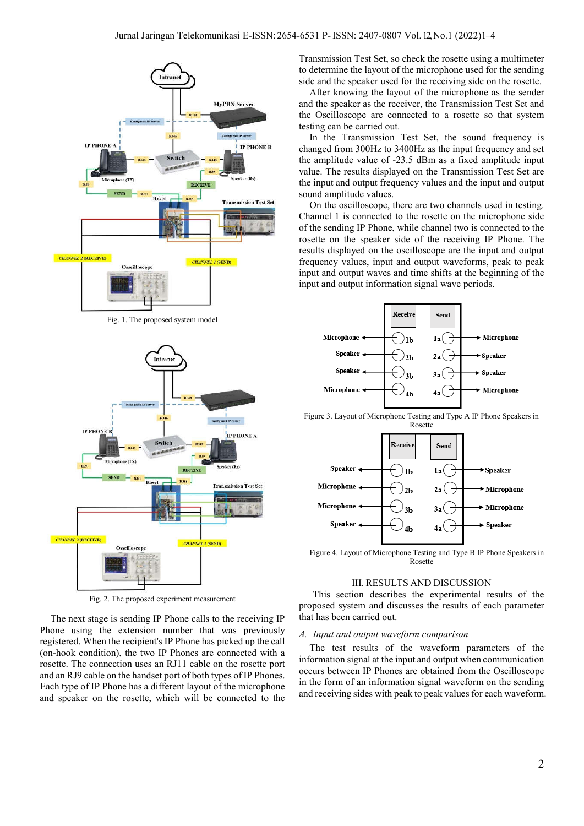

Fig. 1. The proposed system model



Fig. 2. The proposed experiment measurement

The next stage is sending IP Phone calls to the receiving IP Phone using the extension number that was previously registered. When the recipient's IP Phone has picked up the call (on-hook condition), the two IP Phones are connected with a rosette. The connection uses an RJ11 cable on the rosette port and an RJ9 cable on the handset port of both types of IP Phones. Each type of IP Phone has a different layout of the microphone and speaker on the rosette, which will be connected to the Transmission Test Set, so check the rosette using a multimeter to determine the layout of the microphone used for the sending side and the speaker used for the receiving side on the rosette.

After knowing the layout of the microphone as the sender and the speaker as the receiver, the Transmission Test Set and the Oscilloscope are connected to a rosette so that system testing can be carried out.

In the Transmission Test Set, the sound frequency is changed from 300Hz to 3400Hz as the input frequency and set the amplitude value of -23.5 dBm as a fixed amplitude input value. The results displayed on the Transmission Test Set are the input and output frequency values and the input and output sound amplitude values.

On the oscilloscope, there are two channels used in testing. Channel 1 is connected to the rosette on the microphone side of the sending IP Phone, while channel two is connected to the rosette on the speaker side of the receiving IP Phone. The results displayed on the oscilloscope are the input and output frequency values, input and output waveforms, peak to peak input and output waves and time shifts at the beginning of the input and output information signal wave periods.



Figure 3. Layout of Microphone Testing and Type A IP Phone Speakers in Rosette



Figure 4. Layout of Microphone Testing and Type B IP Phone Speakers in Rosette

### III. RESULTS AND DISCUSSION

This section describes the experimental results of the proposed system and discusses the results of each parameter that has been carried out.

#### *A. Input and output waveform comparison*

The test results of the waveform parameters of the information signal at the input and output when communication occurs between IP Phones are obtained from the Oscilloscope in the form of an information signal waveform on the sending and receiving sides with peak to peak values for each waveform.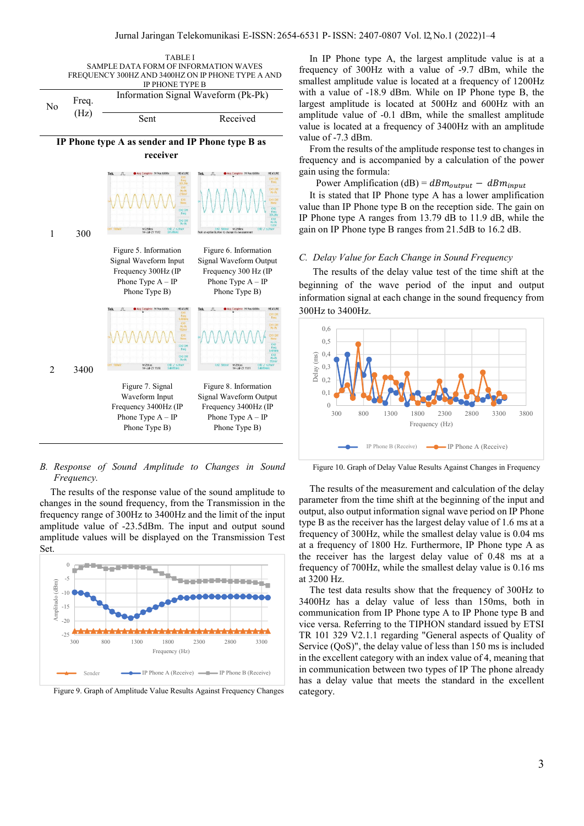

*B. Response of Sound Amplitude to Changes in Sound Frequency.*

The results of the response value of the sound amplitude to changes in the sound frequency, from the Transmission in the frequency range of 300Hz to 3400Hz and the limit of the input amplitude value of -23.5dBm. The input and output sound amplitude values will be displayed on the Transmission Test Set.



Figure 9. Graph of Amplitude Value Results Against Frequency Changes

In IP Phone type A, the largest amplitude value is at a frequency of 300Hz with a value of -9.7 dBm, while the smallest amplitude value is located at a frequency of 1200Hz with a value of -18.9 dBm. While on IP Phone type B, the largest amplitude is located at 500Hz and 600Hz with an amplitude value of -0.1 dBm, while the smallest amplitude value is located at a frequency of 3400Hz with an amplitude value of -7.3 dBm.

From the results of the amplitude response test to changes in frequency and is accompanied by a calculation of the power gain using the formula:

Power Amplification (dB) =  $dBm_{output} - dBm_{input}$ 

It is stated that IP Phone type A has a lower amplification value than IP Phone type B on the reception side. The gain on IP Phone type A ranges from 13.79 dB to 11.9 dB, while the gain on IP Phone type B ranges from 21.5dB to 16.2 dB.

#### *C. Delay Value for Each Change in Sound Frequency*

The results of the delay value test of the time shift at the beginning of the wave period of the input and output information signal at each change in the sound frequency from 300Hz to 3400Hz.



Figure 10. Graph of Delay Value Results Against Changes in Frequency

The results of the measurement and calculation of the delay parameter from the time shift at the beginning of the input and output, also output information signal wave period on IP Phone type B as the receiver has the largest delay value of 1.6 ms at a frequency of 300Hz, while the smallest delay value is 0.04 ms at a frequency of 1800 Hz. Furthermore, IP Phone type A as the receiver has the largest delay value of 0.48 ms at a frequency of 700Hz, while the smallest delay value is 0.16 ms at 3200 Hz.

The test data results show that the frequency of 300Hz to 3400Hz has a delay value of less than 150ms, both in communication from IP Phone type A to IP Phone type B and vice versa. Referring to the TIPHON standard issued by ETSI TR 101 329 V2.1.1 regarding "General aspects of Quality of Service (QoS)", the delay value of less than 150 ms is included in the excellent category with an index value of 4, meaning that in communication between two types of IP The phone already has a delay value that meets the standard in the excellent category.